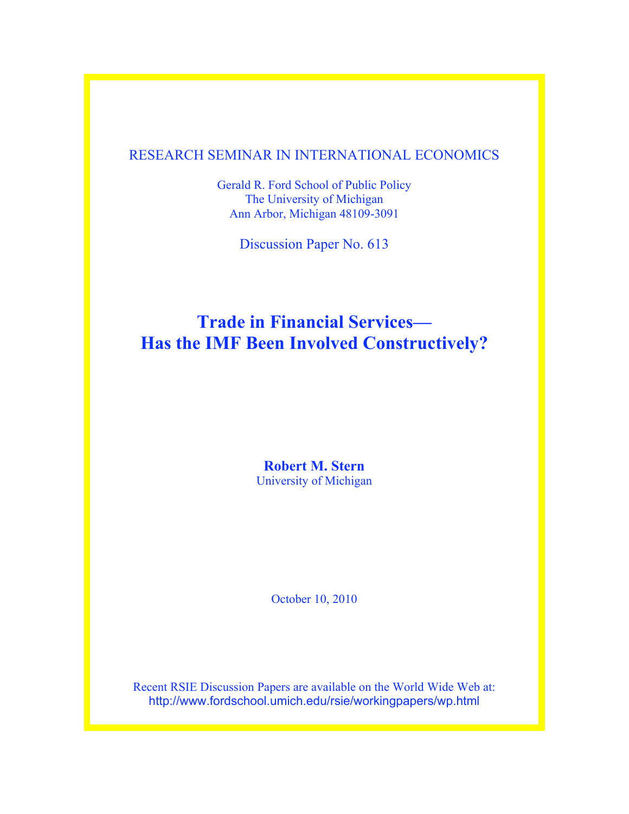## RESEARCH SEMINAR IN INTERNATIONAL ECONOMICS

Gerald R. Ford School of Public Policy The University of Michigan Ann Arbor, Michigan 48109-3091

Discussion Paper No. 613

# **Trade in Financial Services— Has the IMF Been Involved Constructively?**

**Robert M. Stern** University of Michigan

October 10, 2010

Recent RSIE Discussion Papers are available on the World Wide Web at: http://www.fordschool.umich.edu/rsie/workingpapers/wp.html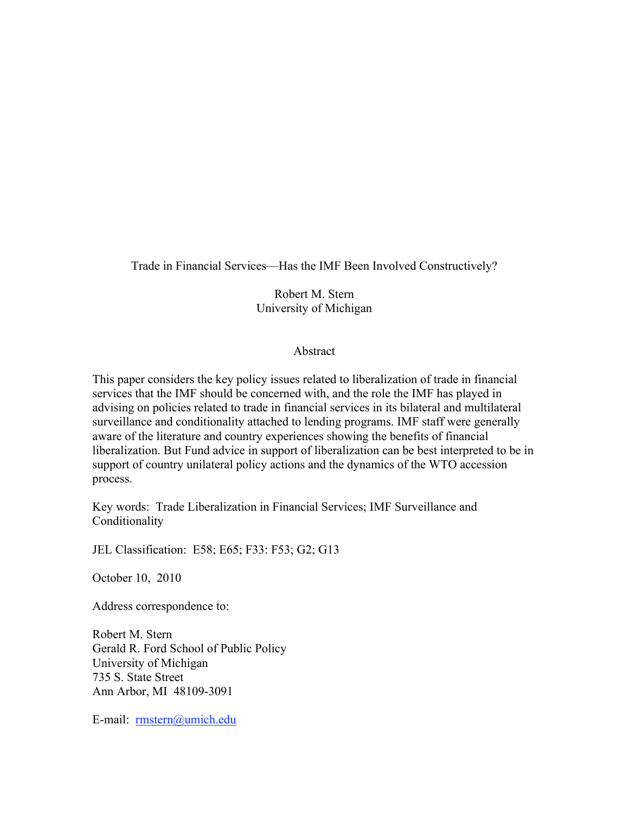Trade in Financial Services—Has the IMF Been Involved Constructively?

Robert M. Stern University of Michigan

#### Abstract

This paper considers the key policy issues related to liberalization of trade in financial services that the IMF should be concerned with, and the role the IMF has played in advising on policies related to trade in financial services in its bilateral and multilateral surveillance and conditionality attached to lending programs. IMF staff were generally aware of the literature and country experiences showing the benefits of financial liberalization. But Fund advice in support of liberalization can be best interpreted to be in support of country unilateral policy actions and the dynamics of the WTO accession process.

Key words: Trade Liberalization in Financial Services; IMF Surveillance and Conditionality

JEL Classification: E58; E65; F33: F53; G2; G13

October 10, 2010

Address correspondence to:

Robert M. Stern Gerald R. Ford School of Public Policy University of Michigan 735 S. State Street Ann Arbor, MI 48109-3091

E-mail: rmstern@umich.edu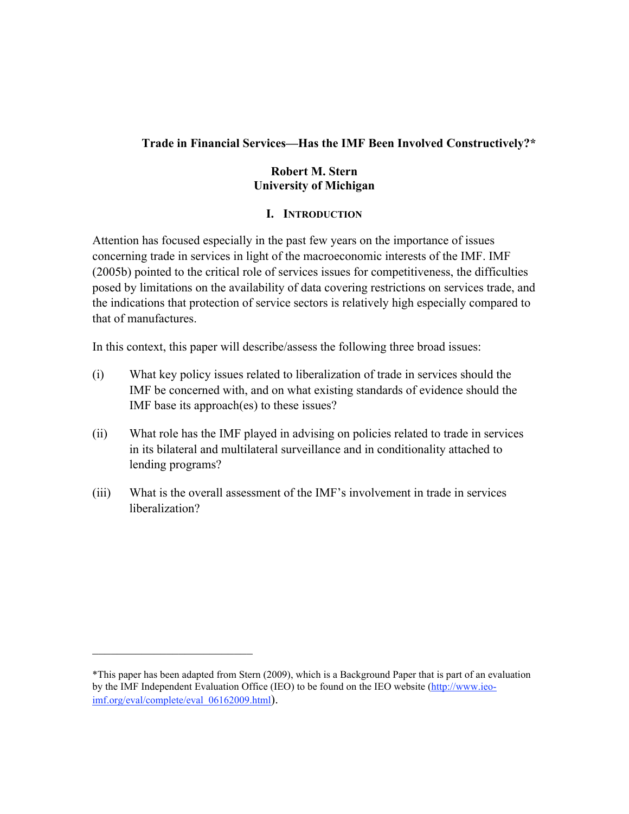#### **Trade in Financial Services—Has the IMF Been Involved Constructively?\***

#### **Robert M. Stern University of Michigan**

#### **I. INTRODUCTION**

Attention has focused especially in the past few years on the importance of issues concerning trade in services in light of the macroeconomic interests of the IMF. IMF (2005b) pointed to the critical role of services issues for competitiveness, the difficulties posed by limitations on the availability of data covering restrictions on services trade, and the indications that protection of service sectors is relatively high especially compared to that of manufactures.

In this context, this paper will describe/assess the following three broad issues:

- (i) What key policy issues related to liberalization of trade in services should the IMF be concerned with, and on what existing standards of evidence should the IMF base its approach(es) to these issues?
- (ii) What role has the IMF played in advising on policies related to trade in services in its bilateral and multilateral surveillance and in conditionality attached to lending programs?
- (iii) What is the overall assessment of the IMF's involvement in trade in services liberalization?

 $\mathcal{L}_\text{max}$ 

<sup>\*</sup>This paper has been adapted from Stern (2009), which is a Background Paper that is part of an evaluation by the IMF Independent Evaluation Office (IEO) to be found on the IEO website (http://www.ieoimf.org/eval/complete/eval\_06162009.html).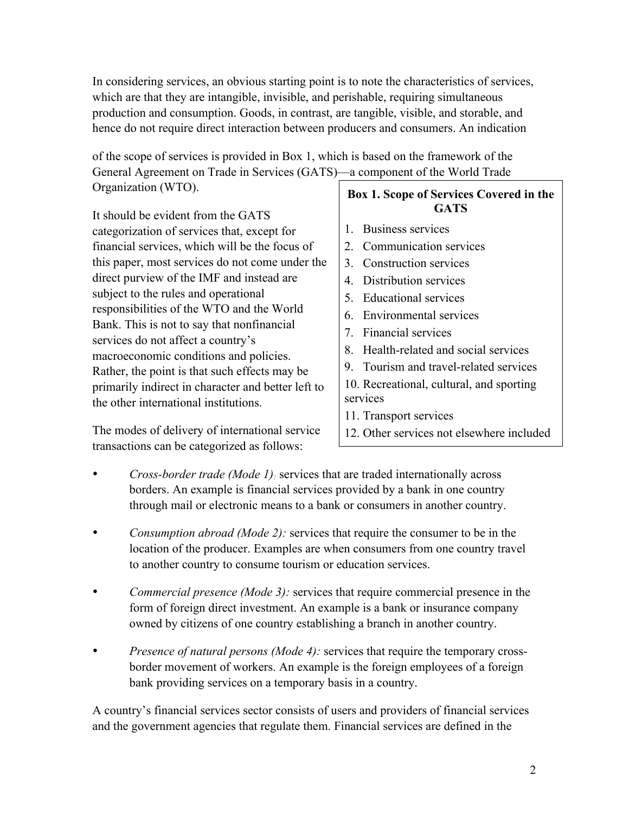In considering services, an obvious starting point is to note the characteristics of services, which are that they are intangible, invisible, and perishable, requiring simultaneous production and consumption. Goods, in contrast, are tangible, visible, and storable, and hence do not require direct interaction between producers and consumers. An indication

of the scope of services is provided in Box 1, which is based on the framework of the General Agreement on Trade in Services (GATS)—a component of the World Trade Organization (WTO).

It should be evident from the GATS categorization of services that, except for financial services, which will be the focus of this paper, most services do not come under the direct purview of the IMF and instead are subject to the rules and operational responsibilities of the WTO and the World Bank. This is not to say that nonfinancial services do not affect a country's macroeconomic conditions and policies. Rather, the point is that such effects may be primarily indirect in character and better left to the other international institutions.

The modes of delivery of international service transactions can be categorized as follows:

#### **Box 1. Scope of Services Covered in the GATS**

- 1. Business services
- 2. Communication services
- 3. Construction services
- 4. Distribution services
- 5. Educational services
- 6. Environmental services
- 7. Financial services
- 8. Health-related and social services
- 9. Tourism and travel-related services
- 10. Recreational, cultural, and sporting services
- 11. Transport services
- 12. Other services not elsewhere included
- *Cross-border trade (Mode 1):* services that are traded internationally across borders. An example is financial services provided by a bank in one country through mail or electronic means to a bank or consumers in another country.
- *Consumption abroad (Mode 2):* services that require the consumer to be in the location of the producer. Examples are when consumers from one country travel to another country to consume tourism or education services.
- *Commercial presence (Mode 3):* services that require commercial presence in the form of foreign direct investment. An example is a bank or insurance company owned by citizens of one country establishing a branch in another country.
- *Presence of natural persons (Mode 4):* services that require the temporary crossborder movement of workers. An example is the foreign employees of a foreign bank providing services on a temporary basis in a country.

A country's financial services sector consists of users and providers of financial services and the government agencies that regulate them. Financial services are defined in the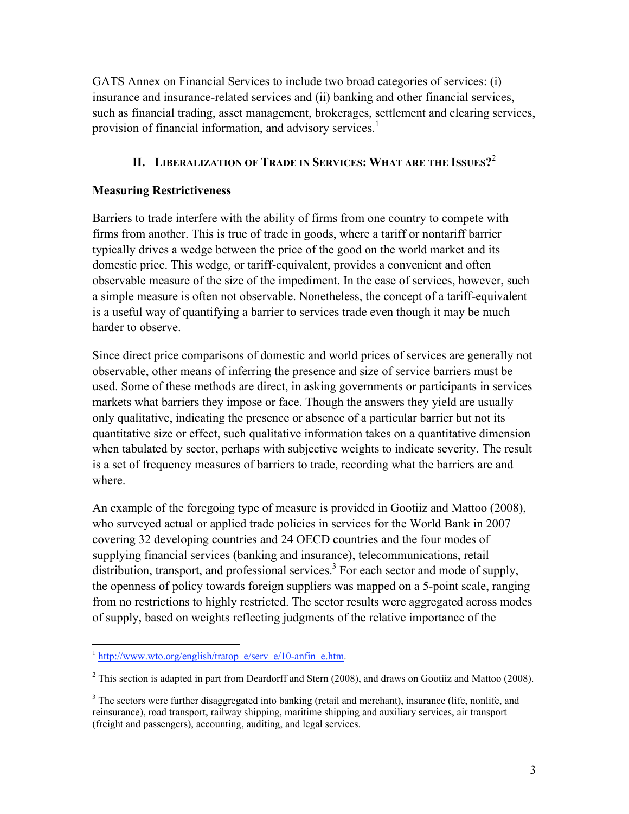GATS Annex on Financial Services to include two broad categories of services: (i) insurance and insurance-related services and (ii) banking and other financial services, such as financial trading, asset management, brokerages, settlement and clearing services, provision of financial information, and advisory services.<sup>1</sup>

## **II. LIBERALIZATION OF TRADE IN SERVICES: WHAT ARE THE ISSUES?**<sup>2</sup>

#### **Measuring Restrictiveness**

Barriers to trade interfere with the ability of firms from one country to compete with firms from another. This is true of trade in goods, where a tariff or nontariff barrier typically drives a wedge between the price of the good on the world market and its domestic price. This wedge, or tariff-equivalent, provides a convenient and often observable measure of the size of the impediment. In the case of services, however, such a simple measure is often not observable. Nonetheless, the concept of a tariff-equivalent is a useful way of quantifying a barrier to services trade even though it may be much harder to observe.

Since direct price comparisons of domestic and world prices of services are generally not observable, other means of inferring the presence and size of service barriers must be used. Some of these methods are direct, in asking governments or participants in services markets what barriers they impose or face. Though the answers they yield are usually only qualitative, indicating the presence or absence of a particular barrier but not its quantitative size or effect, such qualitative information takes on a quantitative dimension when tabulated by sector, perhaps with subjective weights to indicate severity. The result is a set of frequency measures of barriers to trade, recording what the barriers are and where.

An example of the foregoing type of measure is provided in Gootiiz and Mattoo (2008), who surveyed actual or applied trade policies in services for the World Bank in 2007 covering 32 developing countries and 24 OECD countries and the four modes of supplying financial services (banking and insurance), telecommunications, retail distribution, transport, and professional services.<sup>3</sup> For each sector and mode of supply, the openness of policy towards foreign suppliers was mapped on a 5-point scale, ranging from no restrictions to highly restricted. The sector results were aggregated across modes of supply, based on weights reflecting judgments of the relative importance of the

 $1$  http://www.wto.org/english/tratop\_e/serv\_e/10-anfin\_e.htm.

<sup>&</sup>lt;sup>2</sup> This section is adapted in part from Deardorff and Stern (2008), and draws on Gootiiz and Mattoo (2008).

 $3$  The sectors were further disaggregated into banking (retail and merchant), insurance (life, nonlife, and reinsurance), road transport, railway shipping, maritime shipping and auxiliary services, air transport (freight and passengers), accounting, auditing, and legal services.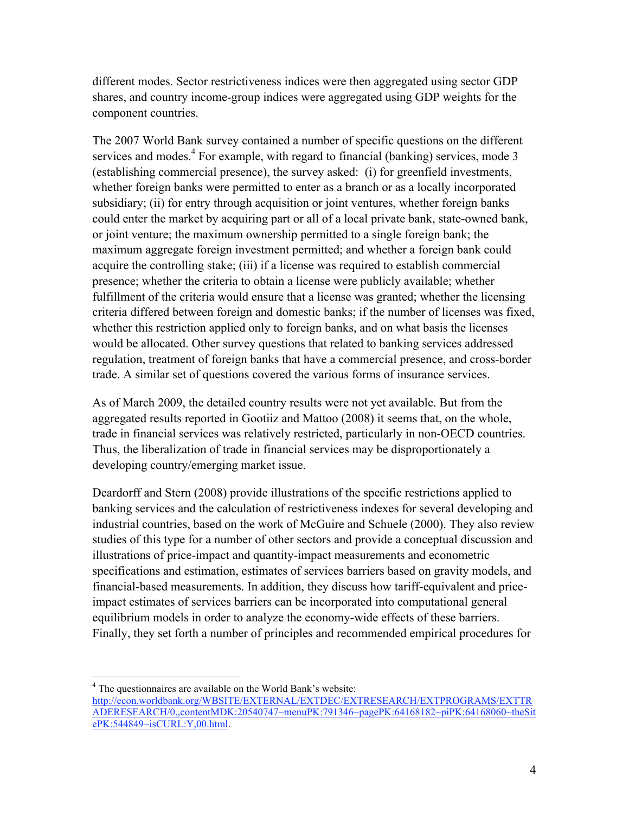different modes. Sector restrictiveness indices were then aggregated using sector GDP shares, and country income-group indices were aggregated using GDP weights for the component countries.

The 2007 World Bank survey contained a number of specific questions on the different services and modes. $4$  For example, with regard to financial (banking) services, mode 3 (establishing commercial presence), the survey asked: (i) for greenfield investments, whether foreign banks were permitted to enter as a branch or as a locally incorporated subsidiary; (ii) for entry through acquisition or joint ventures, whether foreign banks could enter the market by acquiring part or all of a local private bank, state-owned bank, or joint venture; the maximum ownership permitted to a single foreign bank; the maximum aggregate foreign investment permitted; and whether a foreign bank could acquire the controlling stake; (iii) if a license was required to establish commercial presence; whether the criteria to obtain a license were publicly available; whether fulfillment of the criteria would ensure that a license was granted; whether the licensing criteria differed between foreign and domestic banks; if the number of licenses was fixed, whether this restriction applied only to foreign banks, and on what basis the licenses would be allocated. Other survey questions that related to banking services addressed regulation, treatment of foreign banks that have a commercial presence, and cross-border trade. A similar set of questions covered the various forms of insurance services.

As of March 2009, the detailed country results were not yet available. But from the aggregated results reported in Gootiiz and Mattoo (2008) it seems that, on the whole, trade in financial services was relatively restricted, particularly in non-OECD countries. Thus, the liberalization of trade in financial services may be disproportionately a developing country/emerging market issue.

Deardorff and Stern (2008) provide illustrations of the specific restrictions applied to banking services and the calculation of restrictiveness indexes for several developing and industrial countries, based on the work of McGuire and Schuele (2000). They also review studies of this type for a number of other sectors and provide a conceptual discussion and illustrations of price-impact and quantity-impact measurements and econometric specifications and estimation, estimates of services barriers based on gravity models, and financial-based measurements. In addition, they discuss how tariff-equivalent and priceimpact estimates of services barriers can be incorporated into computational general equilibrium models in order to analyze the economy-wide effects of these barriers. Finally, they set forth a number of principles and recommended empirical procedures for

 $\frac{1}{4}$ <sup>4</sup> The questionnaires are available on the World Bank's website: http://econ.worldbank.org/WBSITE/EXTERNAL/EXTDEC/EXTRESEARCH/EXTPROGRAMS/EXTTR ADERESEARCH/0,,contentMDK:20540747~menuPK:791346~pagePK:64168182~piPK:64168060~theSit ePK:544849~isCURL:Y,00.html.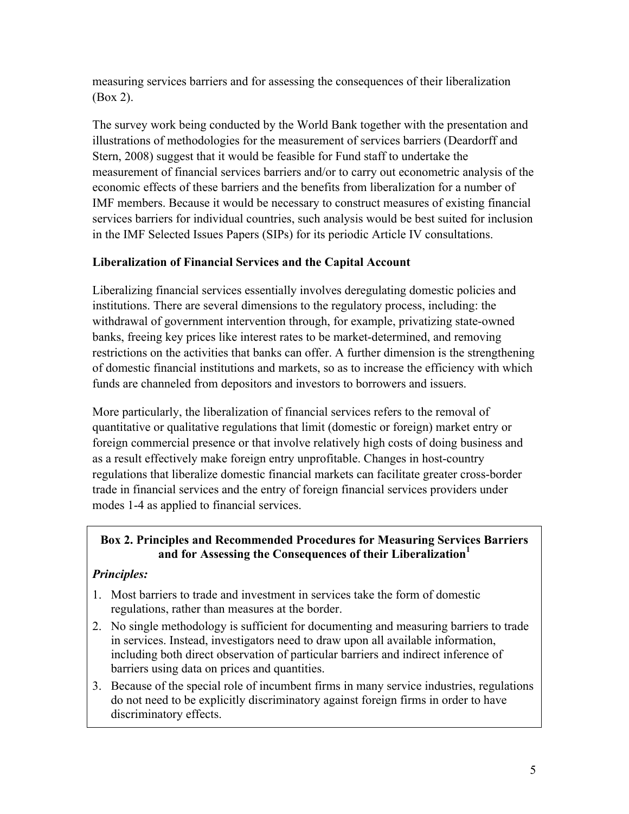measuring services barriers and for assessing the consequences of their liberalization (Box 2).

The survey work being conducted by the World Bank together with the presentation and illustrations of methodologies for the measurement of services barriers (Deardorff and Stern, 2008) suggest that it would be feasible for Fund staff to undertake the measurement of financial services barriers and/or to carry out econometric analysis of the economic effects of these barriers and the benefits from liberalization for a number of IMF members. Because it would be necessary to construct measures of existing financial services barriers for individual countries, such analysis would be best suited for inclusion in the IMF Selected Issues Papers (SIPs) for its periodic Article IV consultations.

## **Liberalization of Financial Services and the Capital Account**

Liberalizing financial services essentially involves deregulating domestic policies and institutions. There are several dimensions to the regulatory process, including: the withdrawal of government intervention through, for example, privatizing state-owned banks, freeing key prices like interest rates to be market-determined, and removing restrictions on the activities that banks can offer. A further dimension is the strengthening of domestic financial institutions and markets, so as to increase the efficiency with which funds are channeled from depositors and investors to borrowers and issuers.

More particularly, the liberalization of financial services refers to the removal of quantitative or qualitative regulations that limit (domestic or foreign) market entry or foreign commercial presence or that involve relatively high costs of doing business and as a result effectively make foreign entry unprofitable. Changes in host-country regulations that liberalize domestic financial markets can facilitate greater cross-border trade in financial services and the entry of foreign financial services providers under modes 1-4 as applied to financial services.

#### **Box 2. Principles and Recommended Procedures for Measuring Services Barriers and for Assessing the Consequences of their Liberalization<sup>1</sup>**

# *Principles:*

- 1. Most barriers to trade and investment in services take the form of domestic regulations, rather than measures at the border.
- 2. No single methodology is sufficient for documenting and measuring barriers to trade in services. Instead, investigators need to draw upon all available information, including both direct observation of particular barriers and indirect inference of barriers using data on prices and quantities.
- 3. Because of the special role of incumbent firms in many service industries, regulations do not need to be explicitly discriminatory against foreign firms in order to have discriminatory effects.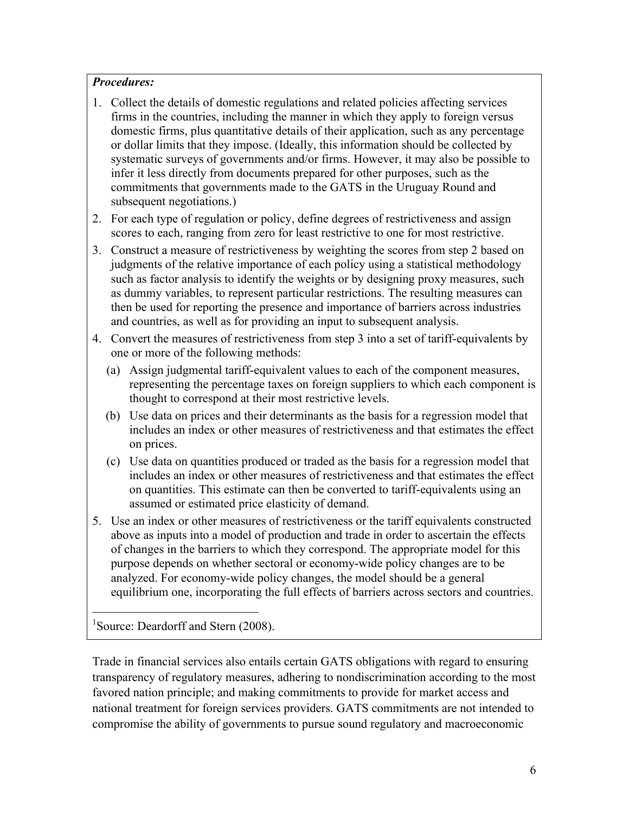#### *Procedures:*

- 1. Collect the details of domestic regulations and related policies affecting services firms in the countries, including the manner in which they apply to foreign versus domestic firms, plus quantitative details of their application, such as any percentage or dollar limits that they impose. (Ideally, this information should be collected by systematic surveys of governments and/or firms. However, it may also be possible to infer it less directly from documents prepared for other purposes, such as the commitments that governments made to the GATS in the Uruguay Round and subsequent negotiations.)
- 2. For each type of regulation or policy, define degrees of restrictiveness and assign scores to each, ranging from zero for least restrictive to one for most restrictive.
- 3. Construct a measure of restrictiveness by weighting the scores from step 2 based on judgments of the relative importance of each policy using a statistical methodology such as factor analysis to identify the weights or by designing proxy measures, such as dummy variables, to represent particular restrictions. The resulting measures can then be used for reporting the presence and importance of barriers across industries and countries, as well as for providing an input to subsequent analysis.
- 4. Convert the measures of restrictiveness from step 3 into a set of tariff-equivalents by one or more of the following methods:
	- (a) Assign judgmental tariff-equivalent values to each of the component measures, representing the percentage taxes on foreign suppliers to which each component is thought to correspond at their most restrictive levels.
	- (b) Use data on prices and their determinants as the basis for a regression model that includes an index or other measures of restrictiveness and that estimates the effect on prices.
	- (c) Use data on quantities produced or traded as the basis for a regression model that includes an index or other measures of restrictiveness and that estimates the effect on quantities. This estimate can then be converted to tariff-equivalents using an assumed or estimated price elasticity of demand.
- 5. Use an index or other measures of restrictiveness or the tariff equivalents constructed above as inputs into a model of production and trade in order to ascertain the effects of changes in the barriers to which they correspond. The appropriate model for this purpose depends on whether sectoral or economy-wide policy changes are to be analyzed. For economy-wide policy changes, the model should be a general equilibrium one, incorporating the full effects of barriers across sectors and countries.

<sup>1</sup>Source: Deardorff and Stern (2008).

 $\mathcal{L}_\text{max}$  , where  $\mathcal{L}_\text{max}$  , we have the set of  $\mathcal{L}_\text{max}$ 

Trade in financial services also entails certain GATS obligations with regard to ensuring transparency of regulatory measures, adhering to nondiscrimination according to the most favored nation principle; and making commitments to provide for market access and national treatment for foreign services providers. GATS commitments are not intended to compromise the ability of governments to pursue sound regulatory and macroeconomic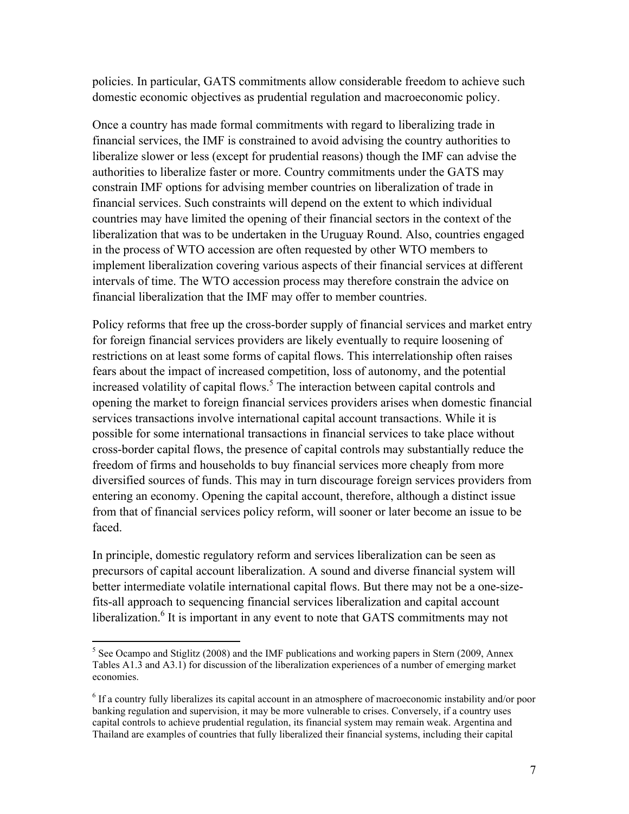policies. In particular, GATS commitments allow considerable freedom to achieve such domestic economic objectives as prudential regulation and macroeconomic policy.

Once a country has made formal commitments with regard to liberalizing trade in financial services, the IMF is constrained to avoid advising the country authorities to liberalize slower or less (except for prudential reasons) though the IMF can advise the authorities to liberalize faster or more. Country commitments under the GATS may constrain IMF options for advising member countries on liberalization of trade in financial services. Such constraints will depend on the extent to which individual countries may have limited the opening of their financial sectors in the context of the liberalization that was to be undertaken in the Uruguay Round. Also, countries engaged in the process of WTO accession are often requested by other WTO members to implement liberalization covering various aspects of their financial services at different intervals of time. The WTO accession process may therefore constrain the advice on financial liberalization that the IMF may offer to member countries.

Policy reforms that free up the cross-border supply of financial services and market entry for foreign financial services providers are likely eventually to require loosening of restrictions on at least some forms of capital flows. This interrelationship often raises fears about the impact of increased competition, loss of autonomy, and the potential increased volatility of capital flows.<sup>5</sup> The interaction between capital controls and opening the market to foreign financial services providers arises when domestic financial services transactions involve international capital account transactions. While it is possible for some international transactions in financial services to take place without cross-border capital flows, the presence of capital controls may substantially reduce the freedom of firms and households to buy financial services more cheaply from more diversified sources of funds. This may in turn discourage foreign services providers from entering an economy. Opening the capital account, therefore, although a distinct issue from that of financial services policy reform, will sooner or later become an issue to be faced.

In principle, domestic regulatory reform and services liberalization can be seen as precursors of capital account liberalization. A sound and diverse financial system will better intermediate volatile international capital flows. But there may not be a one-sizefits-all approach to sequencing financial services liberalization and capital account liberalization.<sup>6</sup> It is important in any event to note that GATS commitments may not

 $\frac{1}{5}$ <sup>5</sup> See Ocampo and Stiglitz (2008) and the IMF publications and working papers in Stern (2009, Annex Tables A1.3 and A3.1) for discussion of the liberalization experiences of a number of emerging market economies.

<sup>&</sup>lt;sup>6</sup> If a country fully liberalizes its capital account in an atmosphere of macroeconomic instability and/or poor banking regulation and supervision, it may be more vulnerable to crises. Conversely, if a country uses capital controls to achieve prudential regulation, its financial system may remain weak. Argentina and Thailand are examples of countries that fully liberalized their financial systems, including their capital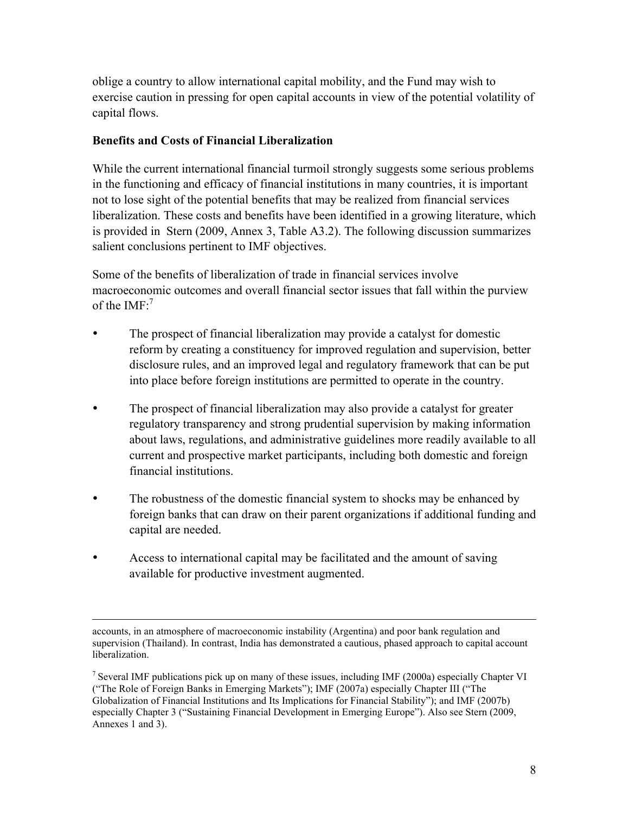oblige a country to allow international capital mobility, and the Fund may wish to exercise caution in pressing for open capital accounts in view of the potential volatility of capital flows.

#### **Benefits and Costs of Financial Liberalization**

While the current international financial turmoil strongly suggests some serious problems in the functioning and efficacy of financial institutions in many countries, it is important not to lose sight of the potential benefits that may be realized from financial services liberalization. These costs and benefits have been identified in a growing literature, which is provided in Stern (2009, Annex 3, Table A3.2). The following discussion summarizes salient conclusions pertinent to IMF objectives.

Some of the benefits of liberalization of trade in financial services involve macroeconomic outcomes and overall financial sector issues that fall within the purview of the  $IMF<sup>7</sup>$ 

- The prospect of financial liberalization may provide a catalyst for domestic reform by creating a constituency for improved regulation and supervision, better disclosure rules, and an improved legal and regulatory framework that can be put into place before foreign institutions are permitted to operate in the country.
- The prospect of financial liberalization may also provide a catalyst for greater regulatory transparency and strong prudential supervision by making information about laws, regulations, and administrative guidelines more readily available to all current and prospective market participants, including both domestic and foreign financial institutions.
- The robustness of the domestic financial system to shocks may be enhanced by foreign banks that can draw on their parent organizations if additional funding and capital are needed.
- Access to international capital may be facilitated and the amount of saving available for productive investment augmented.

accounts, in an atmosphere of macroeconomic instability (Argentina) and poor bank regulation and supervision (Thailand). In contrast, India has demonstrated a cautious, phased approach to capital account liberalization.

<sup>7</sup> Several IMF publications pick up on many of these issues, including IMF (2000a) especially Chapter VI ("The Role of Foreign Banks in Emerging Markets"); IMF (2007a) especially Chapter III ("The Globalization of Financial Institutions and Its Implications for Financial Stability"); and IMF (2007b) especially Chapter 3 ("Sustaining Financial Development in Emerging Europe"). Also see Stern (2009, Annexes 1 and 3).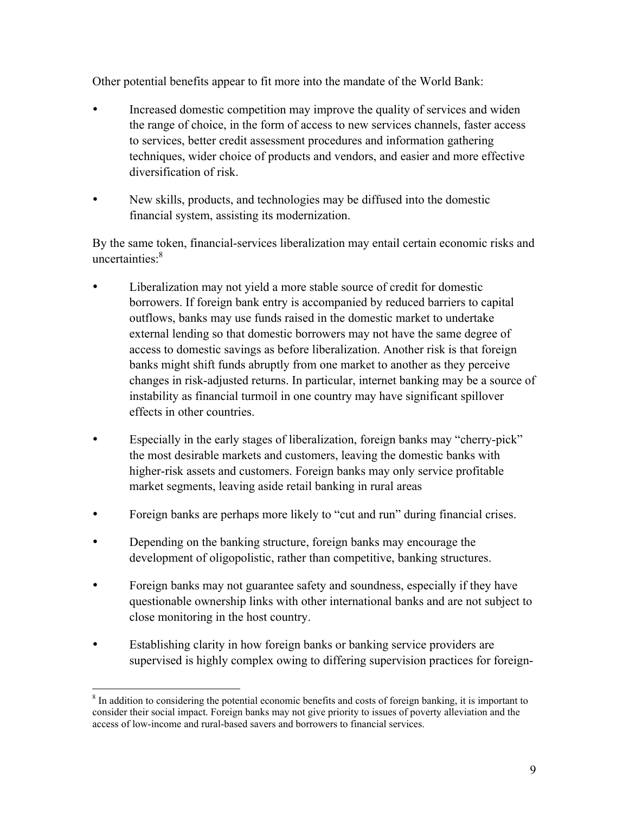Other potential benefits appear to fit more into the mandate of the World Bank:

- Increased domestic competition may improve the quality of services and widen the range of choice, in the form of access to new services channels, faster access to services, better credit assessment procedures and information gathering techniques, wider choice of products and vendors, and easier and more effective diversification of risk.
- New skills, products, and technologies may be diffused into the domestic financial system, assisting its modernization.

By the same token, financial-services liberalization may entail certain economic risks and uncertainties:8

- Liberalization may not yield a more stable source of credit for domestic borrowers. If foreign bank entry is accompanied by reduced barriers to capital outflows, banks may use funds raised in the domestic market to undertake external lending so that domestic borrowers may not have the same degree of access to domestic savings as before liberalization. Another risk is that foreign banks might shift funds abruptly from one market to another as they perceive changes in risk-adjusted returns. In particular, internet banking may be a source of instability as financial turmoil in one country may have significant spillover effects in other countries.
- Especially in the early stages of liberalization, foreign banks may "cherry-pick" the most desirable markets and customers, leaving the domestic banks with higher-risk assets and customers. Foreign banks may only service profitable market segments, leaving aside retail banking in rural areas
- Foreign banks are perhaps more likely to "cut and run" during financial crises.
- Depending on the banking structure, foreign banks may encourage the development of oligopolistic, rather than competitive, banking structures.
- Foreign banks may not guarantee safety and soundness, especially if they have questionable ownership links with other international banks and are not subject to close monitoring in the host country.
- Establishing clarity in how foreign banks or banking service providers are supervised is highly complex owing to differing supervision practices for foreign-

 <sup>8</sup>  ${}^8$  In addition to considering the potential economic benefits and costs of foreign banking, it is important to consider their social impact. Foreign banks may not give priority to issues of poverty alleviation and the access of low-income and rural-based savers and borrowers to financial services.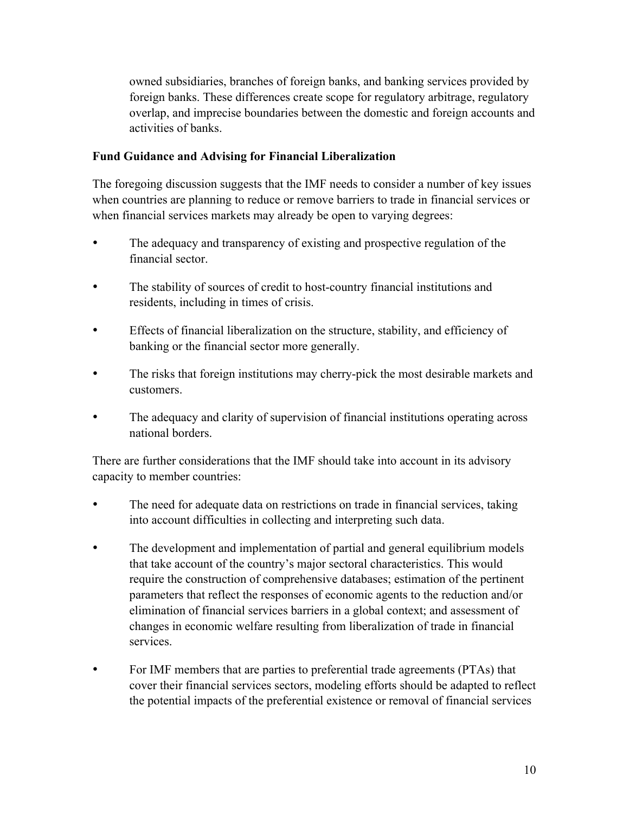owned subsidiaries, branches of foreign banks, and banking services provided by foreign banks. These differences create scope for regulatory arbitrage, regulatory overlap, and imprecise boundaries between the domestic and foreign accounts and activities of banks.

#### **Fund Guidance and Advising for Financial Liberalization**

The foregoing discussion suggests that the IMF needs to consider a number of key issues when countries are planning to reduce or remove barriers to trade in financial services or when financial services markets may already be open to varying degrees:

- The adequacy and transparency of existing and prospective regulation of the financial sector.
- The stability of sources of credit to host-country financial institutions and residents, including in times of crisis.
- Effects of financial liberalization on the structure, stability, and efficiency of banking or the financial sector more generally.
- The risks that foreign institutions may cherry-pick the most desirable markets and customers.
- The adequacy and clarity of supervision of financial institutions operating across national borders.

There are further considerations that the IMF should take into account in its advisory capacity to member countries:

- The need for adequate data on restrictions on trade in financial services, taking into account difficulties in collecting and interpreting such data.
- The development and implementation of partial and general equilibrium models that take account of the country's major sectoral characteristics. This would require the construction of comprehensive databases; estimation of the pertinent parameters that reflect the responses of economic agents to the reduction and/or elimination of financial services barriers in a global context; and assessment of changes in economic welfare resulting from liberalization of trade in financial services.
- For IMF members that are parties to preferential trade agreements (PTAs) that cover their financial services sectors, modeling efforts should be adapted to reflect the potential impacts of the preferential existence or removal of financial services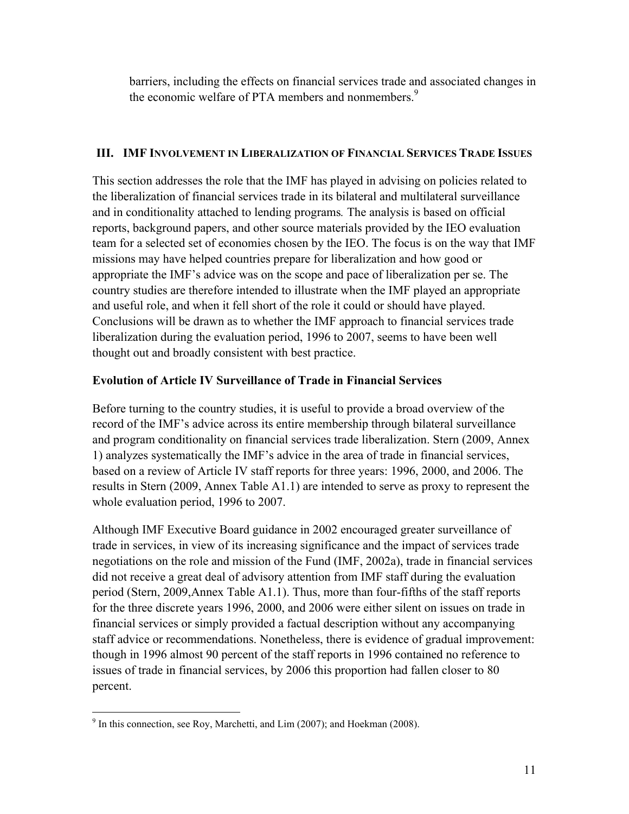barriers, including the effects on financial services trade and associated changes in the economic welfare of PTA members and nonmembers.<sup>9</sup>

#### **III. IMF INVOLVEMENT IN LIBERALIZATION OF FINANCIAL SERVICES TRADE ISSUES**

This section addresses the role that the IMF has played in advising on policies related to the liberalization of financial services trade in its bilateral and multilateral surveillance and in conditionality attached to lending programs*.* The analysis is based on official reports, background papers, and other source materials provided by the IEO evaluation team for a selected set of economies chosen by the IEO. The focus is on the way that IMF missions may have helped countries prepare for liberalization and how good or appropriate the IMF's advice was on the scope and pace of liberalization per se. The country studies are therefore intended to illustrate when the IMF played an appropriate and useful role, and when it fell short of the role it could or should have played. Conclusions will be drawn as to whether the IMF approach to financial services trade liberalization during the evaluation period, 1996 to 2007, seems to have been well thought out and broadly consistent with best practice.

#### **Evolution of Article IV Surveillance of Trade in Financial Services**

Before turning to the country studies, it is useful to provide a broad overview of the record of the IMF's advice across its entire membership through bilateral surveillance and program conditionality on financial services trade liberalization. Stern (2009, Annex 1) analyzes systematically the IMF's advice in the area of trade in financial services, based on a review of Article IV staff reports for three years: 1996, 2000, and 2006. The results in Stern (2009, Annex Table A1.1) are intended to serve as proxy to represent the whole evaluation period, 1996 to 2007.

Although IMF Executive Board guidance in 2002 encouraged greater surveillance of trade in services, in view of its increasing significance and the impact of services trade negotiations on the role and mission of the Fund (IMF, 2002a), trade in financial services did not receive a great deal of advisory attention from IMF staff during the evaluation period (Stern, 2009,Annex Table A1.1). Thus, more than four-fifths of the staff reports for the three discrete years 1996, 2000, and 2006 were either silent on issues on trade in financial services or simply provided a factual description without any accompanying staff advice or recommendations. Nonetheless, there is evidence of gradual improvement: though in 1996 almost 90 percent of the staff reports in 1996 contained no reference to issues of trade in financial services, by 2006 this proportion had fallen closer to 80 percent.

<sup>-&</sup>lt;br>9  $9$  In this connection, see Roy, Marchetti, and Lim (2007); and Hoekman (2008).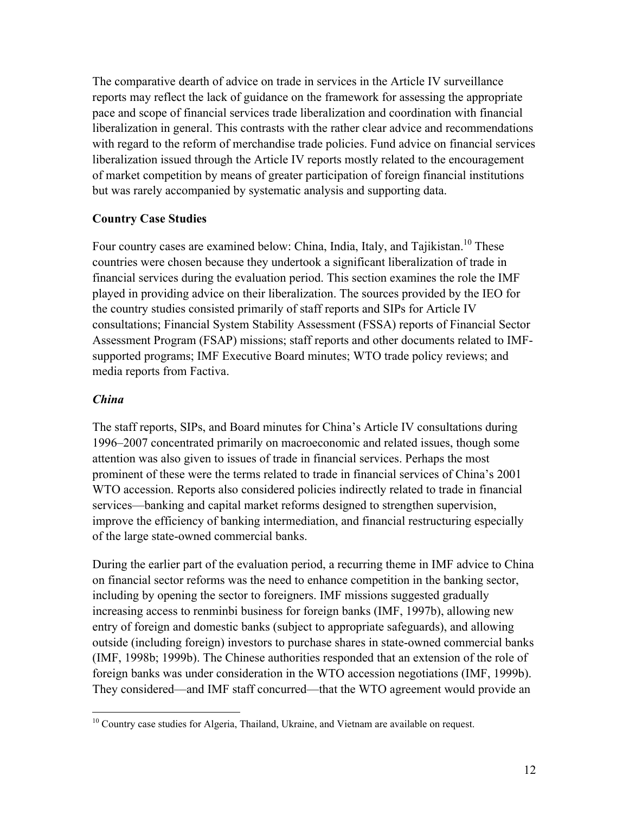The comparative dearth of advice on trade in services in the Article IV surveillance reports may reflect the lack of guidance on the framework for assessing the appropriate pace and scope of financial services trade liberalization and coordination with financial liberalization in general. This contrasts with the rather clear advice and recommendations with regard to the reform of merchandise trade policies. Fund advice on financial services liberalization issued through the Article IV reports mostly related to the encouragement of market competition by means of greater participation of foreign financial institutions but was rarely accompanied by systematic analysis and supporting data.

#### **Country Case Studies**

Four country cases are examined below: China, India, Italy, and Tajikistan.<sup>10</sup> These countries were chosen because they undertook a significant liberalization of trade in financial services during the evaluation period. This section examines the role the IMF played in providing advice on their liberalization. The sources provided by the IEO for the country studies consisted primarily of staff reports and SIPs for Article IV consultations; Financial System Stability Assessment (FSSA) reports of Financial Sector Assessment Program (FSAP) missions; staff reports and other documents related to IMFsupported programs; IMF Executive Board minutes; WTO trade policy reviews; and media reports from Factiva.

#### *China*

The staff reports, SIPs, and Board minutes for China's Article IV consultations during 1996–2007 concentrated primarily on macroeconomic and related issues, though some attention was also given to issues of trade in financial services. Perhaps the most prominent of these were the terms related to trade in financial services of China's 2001 WTO accession. Reports also considered policies indirectly related to trade in financial services—banking and capital market reforms designed to strengthen supervision, improve the efficiency of banking intermediation, and financial restructuring especially of the large state-owned commercial banks.

During the earlier part of the evaluation period, a recurring theme in IMF advice to China on financial sector reforms was the need to enhance competition in the banking sector, including by opening the sector to foreigners. IMF missions suggested gradually increasing access to renminbi business for foreign banks (IMF, 1997b), allowing new entry of foreign and domestic banks (subject to appropriate safeguards), and allowing outside (including foreign) investors to purchase shares in state-owned commercial banks (IMF, 1998b; 1999b). The Chinese authorities responded that an extension of the role of foreign banks was under consideration in the WTO accession negotiations (IMF, 1999b). They considered—and IMF staff concurred—that the WTO agreement would provide an

 $10$  Country case studies for Algeria, Thailand, Ukraine, and Vietnam are available on request.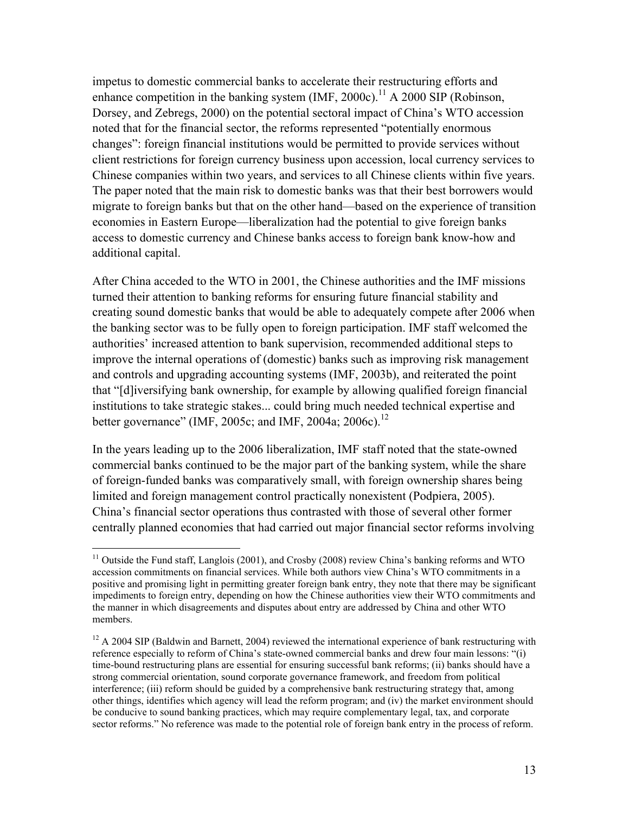impetus to domestic commercial banks to accelerate their restructuring efforts and enhance competition in the banking system (IMF, 2000c).<sup>11</sup> A 2000 SIP (Robinson, Dorsey, and Zebregs, 2000) on the potential sectoral impact of China's WTO accession noted that for the financial sector, the reforms represented "potentially enormous changes": foreign financial institutions would be permitted to provide services without client restrictions for foreign currency business upon accession, local currency services to Chinese companies within two years, and services to all Chinese clients within five years. The paper noted that the main risk to domestic banks was that their best borrowers would migrate to foreign banks but that on the other hand—based on the experience of transition economies in Eastern Europe—liberalization had the potential to give foreign banks access to domestic currency and Chinese banks access to foreign bank know-how and additional capital.

After China acceded to the WTO in 2001, the Chinese authorities and the IMF missions turned their attention to banking reforms for ensuring future financial stability and creating sound domestic banks that would be able to adequately compete after 2006 when the banking sector was to be fully open to foreign participation. IMF staff welcomed the authorities' increased attention to bank supervision, recommended additional steps to improve the internal operations of (domestic) banks such as improving risk management and controls and upgrading accounting systems (IMF, 2003b), and reiterated the point that "[d]iversifying bank ownership, for example by allowing qualified foreign financial institutions to take strategic stakes... could bring much needed technical expertise and better governance" (IMF, 2005c; and IMF, 2004a; 2006c).<sup>12</sup>

In the years leading up to the 2006 liberalization, IMF staff noted that the state-owned commercial banks continued to be the major part of the banking system, while the share of foreign-funded banks was comparatively small, with foreign ownership shares being limited and foreign management control practically nonexistent (Podpiera, 2005). China's financial sector operations thus contrasted with those of several other former centrally planned economies that had carried out major financial sector reforms involving

<sup>&</sup>lt;sup>11</sup> Outside the Fund staff, Langlois (2001), and Crosby (2008) review China's banking reforms and WTO accession commitments on financial services. While both authors view China's WTO commitments in a positive and promising light in permitting greater foreign bank entry, they note that there may be significant impediments to foreign entry, depending on how the Chinese authorities view their WTO commitments and the manner in which disagreements and disputes about entry are addressed by China and other WTO members.

<sup>&</sup>lt;sup>12</sup> A 2004 SIP (Baldwin and Barnett, 2004) reviewed the international experience of bank restructuring with reference especially to reform of China's state-owned commercial banks and drew four main lessons: "(i) time-bound restructuring plans are essential for ensuring successful bank reforms; (ii) banks should have a strong commercial orientation, sound corporate governance framework, and freedom from political interference; (iii) reform should be guided by a comprehensive bank restructuring strategy that, among other things, identifies which agency will lead the reform program; and (iv) the market environment should be conducive to sound banking practices, which may require complementary legal, tax, and corporate sector reforms." No reference was made to the potential role of foreign bank entry in the process of reform.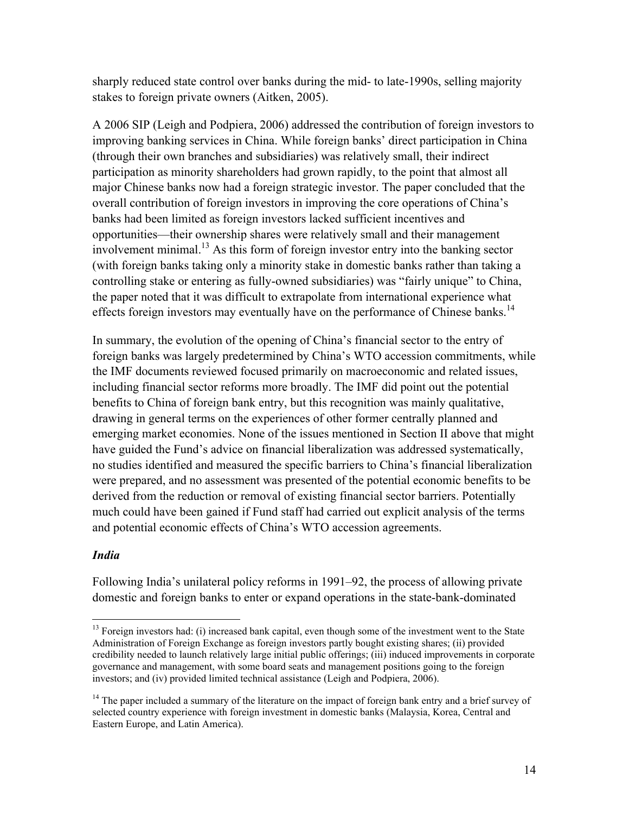sharply reduced state control over banks during the mid- to late-1990s, selling majority stakes to foreign private owners (Aitken, 2005).

A 2006 SIP (Leigh and Podpiera, 2006) addressed the contribution of foreign investors to improving banking services in China. While foreign banks' direct participation in China (through their own branches and subsidiaries) was relatively small, their indirect participation as minority shareholders had grown rapidly, to the point that almost all major Chinese banks now had a foreign strategic investor. The paper concluded that the overall contribution of foreign investors in improving the core operations of China's banks had been limited as foreign investors lacked sufficient incentives and opportunities—their ownership shares were relatively small and their management involvement minimal.13 As this form of foreign investor entry into the banking sector (with foreign banks taking only a minority stake in domestic banks rather than taking a controlling stake or entering as fully-owned subsidiaries) was "fairly unique" to China, the paper noted that it was difficult to extrapolate from international experience what effects foreign investors may eventually have on the performance of Chinese banks.<sup>14</sup>

In summary, the evolution of the opening of China's financial sector to the entry of foreign banks was largely predetermined by China's WTO accession commitments, while the IMF documents reviewed focused primarily on macroeconomic and related issues, including financial sector reforms more broadly. The IMF did point out the potential benefits to China of foreign bank entry, but this recognition was mainly qualitative, drawing in general terms on the experiences of other former centrally planned and emerging market economies. None of the issues mentioned in Section II above that might have guided the Fund's advice on financial liberalization was addressed systematically, no studies identified and measured the specific barriers to China's financial liberalization were prepared, and no assessment was presented of the potential economic benefits to be derived from the reduction or removal of existing financial sector barriers. Potentially much could have been gained if Fund staff had carried out explicit analysis of the terms and potential economic effects of China's WTO accession agreements.

#### *India*

Following India's unilateral policy reforms in 1991–92, the process of allowing private domestic and foreign banks to enter or expand operations in the state-bank-dominated

<sup>&</sup>lt;sup>13</sup> Foreign investors had: (i) increased bank capital, even though some of the investment went to the State Administration of Foreign Exchange as foreign investors partly bought existing shares; (ii) provided credibility needed to launch relatively large initial public offerings; (iii) induced improvements in corporate governance and management, with some board seats and management positions going to the foreign investors; and (iv) provided limited technical assistance (Leigh and Podpiera, 2006).

<sup>&</sup>lt;sup>14</sup> The paper included a summary of the literature on the impact of foreign bank entry and a brief survey of selected country experience with foreign investment in domestic banks (Malaysia, Korea, Central and Eastern Europe, and Latin America).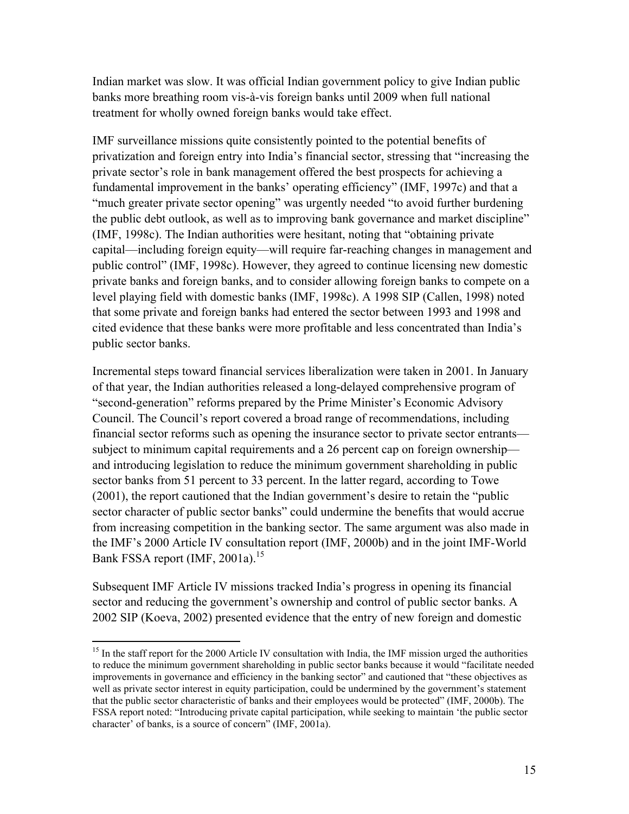Indian market was slow. It was official Indian government policy to give Indian public banks more breathing room vis-à-vis foreign banks until 2009 when full national treatment for wholly owned foreign banks would take effect.

IMF surveillance missions quite consistently pointed to the potential benefits of privatization and foreign entry into India's financial sector, stressing that "increasing the private sector's role in bank management offered the best prospects for achieving a fundamental improvement in the banks' operating efficiency" (IMF, 1997c) and that a "much greater private sector opening" was urgently needed "to avoid further burdening the public debt outlook, as well as to improving bank governance and market discipline" (IMF, 1998c). The Indian authorities were hesitant, noting that "obtaining private capital—including foreign equity—will require far-reaching changes in management and public control" (IMF, 1998c). However, they agreed to continue licensing new domestic private banks and foreign banks, and to consider allowing foreign banks to compete on a level playing field with domestic banks (IMF, 1998c). A 1998 SIP (Callen, 1998) noted that some private and foreign banks had entered the sector between 1993 and 1998 and cited evidence that these banks were more profitable and less concentrated than India's public sector banks.

Incremental steps toward financial services liberalization were taken in 2001. In January of that year, the Indian authorities released a long-delayed comprehensive program of "second-generation" reforms prepared by the Prime Minister's Economic Advisory Council. The Council's report covered a broad range of recommendations, including financial sector reforms such as opening the insurance sector to private sector entrants subject to minimum capital requirements and a 26 percent cap on foreign ownership and introducing legislation to reduce the minimum government shareholding in public sector banks from 51 percent to 33 percent. In the latter regard, according to Towe (2001), the report cautioned that the Indian government's desire to retain the "public sector character of public sector banks" could undermine the benefits that would accrue from increasing competition in the banking sector. The same argument was also made in the IMF's 2000 Article IV consultation report (IMF, 2000b) and in the joint IMF-World Bank FSSA report (IMF, 2001a).<sup>15</sup>

Subsequent IMF Article IV missions tracked India's progress in opening its financial sector and reducing the government's ownership and control of public sector banks. A 2002 SIP (Koeva, 2002) presented evidence that the entry of new foreign and domestic

<sup>&</sup>lt;sup>15</sup> In the staff report for the 2000 Article IV consultation with India, the IMF mission urged the authorities to reduce the minimum government shareholding in public sector banks because it would "facilitate needed improvements in governance and efficiency in the banking sector" and cautioned that "these objectives as well as private sector interest in equity participation, could be undermined by the government's statement that the public sector characteristic of banks and their employees would be protected" (IMF, 2000b). The FSSA report noted: "Introducing private capital participation, while seeking to maintain 'the public sector character' of banks, is a source of concern" (IMF, 2001a).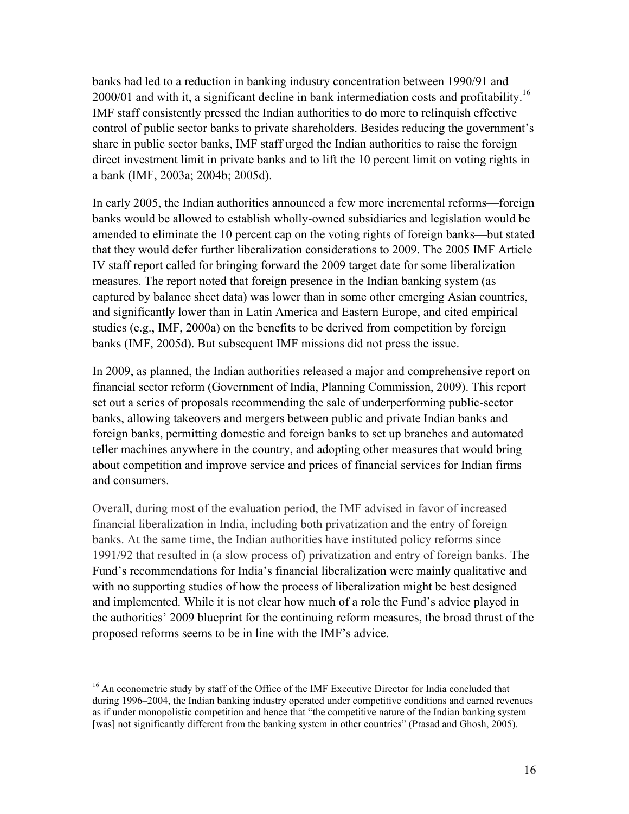banks had led to a reduction in banking industry concentration between 1990/91 and 2000/01 and with it, a significant decline in bank intermediation costs and profitability.<sup>16</sup> IMF staff consistently pressed the Indian authorities to do more to relinquish effective control of public sector banks to private shareholders. Besides reducing the government's share in public sector banks, IMF staff urged the Indian authorities to raise the foreign direct investment limit in private banks and to lift the 10 percent limit on voting rights in a bank (IMF, 2003a; 2004b; 2005d).

In early 2005, the Indian authorities announced a few more incremental reforms—foreign banks would be allowed to establish wholly-owned subsidiaries and legislation would be amended to eliminate the 10 percent cap on the voting rights of foreign banks—but stated that they would defer further liberalization considerations to 2009. The 2005 IMF Article IV staff report called for bringing forward the 2009 target date for some liberalization measures. The report noted that foreign presence in the Indian banking system (as captured by balance sheet data) was lower than in some other emerging Asian countries, and significantly lower than in Latin America and Eastern Europe, and cited empirical studies (e.g., IMF, 2000a) on the benefits to be derived from competition by foreign banks (IMF, 2005d). But subsequent IMF missions did not press the issue.

In 2009, as planned, the Indian authorities released a major and comprehensive report on financial sector reform (Government of India, Planning Commission, 2009). This report set out a series of proposals recommending the sale of underperforming public-sector banks, allowing takeovers and mergers between public and private Indian banks and foreign banks, permitting domestic and foreign banks to set up branches and automated teller machines anywhere in the country, and adopting other measures that would bring about competition and improve service and prices of financial services for Indian firms and consumers.

Overall, during most of the evaluation period, the IMF advised in favor of increased financial liberalization in India, including both privatization and the entry of foreign banks. At the same time, the Indian authorities have instituted policy reforms since 1991/92 that resulted in (a slow process of) privatization and entry of foreign banks. The Fund's recommendations for India's financial liberalization were mainly qualitative and with no supporting studies of how the process of liberalization might be best designed and implemented. While it is not clear how much of a role the Fund's advice played in the authorities' 2009 blueprint for the continuing reform measures, the broad thrust of the proposed reforms seems to be in line with the IMF's advice.

<sup>&</sup>lt;sup>16</sup> An econometric study by staff of the Office of the IMF Executive Director for India concluded that during 1996–2004, the Indian banking industry operated under competitive conditions and earned revenues as if under monopolistic competition and hence that "the competitive nature of the Indian banking system [was] not significantly different from the banking system in other countries" (Prasad and Ghosh, 2005).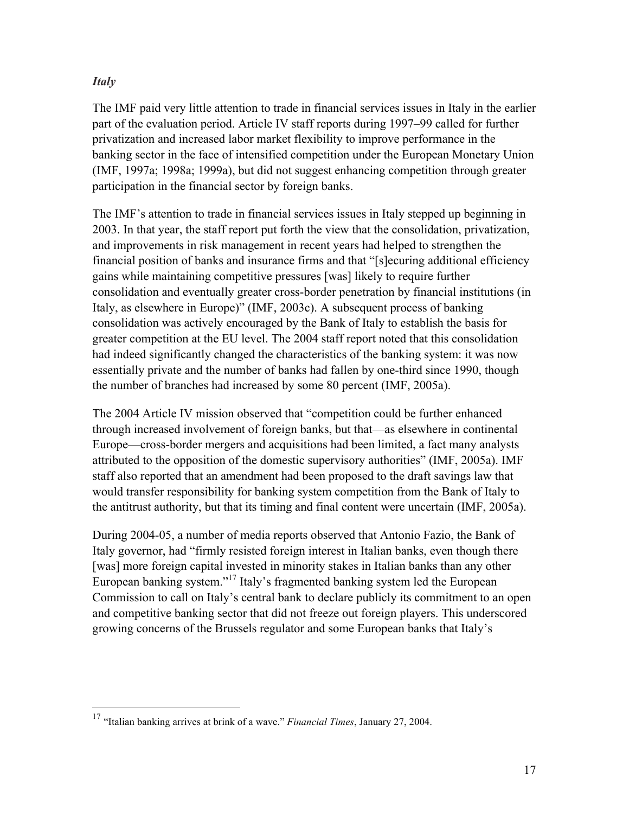#### *Italy*

The IMF paid very little attention to trade in financial services issues in Italy in the earlier part of the evaluation period. Article IV staff reports during 1997–99 called for further privatization and increased labor market flexibility to improve performance in the banking sector in the face of intensified competition under the European Monetary Union (IMF, 1997a; 1998a; 1999a), but did not suggest enhancing competition through greater participation in the financial sector by foreign banks.

The IMF's attention to trade in financial services issues in Italy stepped up beginning in 2003. In that year, the staff report put forth the view that the consolidation, privatization, and improvements in risk management in recent years had helped to strengthen the financial position of banks and insurance firms and that "[s]ecuring additional efficiency gains while maintaining competitive pressures [was] likely to require further consolidation and eventually greater cross-border penetration by financial institutions (in Italy, as elsewhere in Europe)" (IMF, 2003c). A subsequent process of banking consolidation was actively encouraged by the Bank of Italy to establish the basis for greater competition at the EU level. The 2004 staff report noted that this consolidation had indeed significantly changed the characteristics of the banking system: it was now essentially private and the number of banks had fallen by one-third since 1990, though the number of branches had increased by some 80 percent (IMF, 2005a).

The 2004 Article IV mission observed that "competition could be further enhanced through increased involvement of foreign banks, but that—as elsewhere in continental Europe—cross-border mergers and acquisitions had been limited, a fact many analysts attributed to the opposition of the domestic supervisory authorities" (IMF, 2005a). IMF staff also reported that an amendment had been proposed to the draft savings law that would transfer responsibility for banking system competition from the Bank of Italy to the antitrust authority, but that its timing and final content were uncertain (IMF, 2005a).

During 2004-05, a number of media reports observed that Antonio Fazio, the Bank of Italy governor, had "firmly resisted foreign interest in Italian banks, even though there [was] more foreign capital invested in minority stakes in Italian banks than any other European banking system."<sup>17</sup> Italy's fragmented banking system led the European Commission to call on Italy's central bank to declare publicly its commitment to an open and competitive banking sector that did not freeze out foreign players. This underscored growing concerns of the Brussels regulator and some European banks that Italy's

 <sup>17</sup> "Italian banking arrives at brink of a wave." *Financial Times*, January 27, 2004.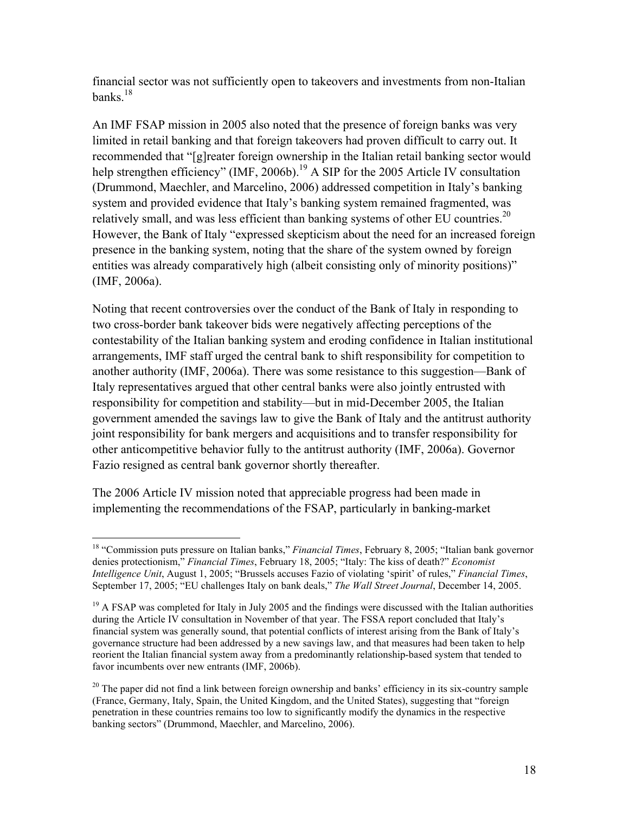financial sector was not sufficiently open to takeovers and investments from non-Italian banks $18$ 

An IMF FSAP mission in 2005 also noted that the presence of foreign banks was very limited in retail banking and that foreign takeovers had proven difficult to carry out. It recommended that "[g]reater foreign ownership in the Italian retail banking sector would help strengthen efficiency" (IMF, 2006b).<sup>19</sup> A SIP for the 2005 Article IV consultation (Drummond, Maechler, and Marcelino, 2006) addressed competition in Italy's banking system and provided evidence that Italy's banking system remained fragmented, was relatively small, and was less efficient than banking systems of other EU countries.<sup>20</sup> However, the Bank of Italy "expressed skepticism about the need for an increased foreign presence in the banking system, noting that the share of the system owned by foreign entities was already comparatively high (albeit consisting only of minority positions)" (IMF, 2006a).

Noting that recent controversies over the conduct of the Bank of Italy in responding to two cross-border bank takeover bids were negatively affecting perceptions of the contestability of the Italian banking system and eroding confidence in Italian institutional arrangements, IMF staff urged the central bank to shift responsibility for competition to another authority (IMF, 2006a). There was some resistance to this suggestion—Bank of Italy representatives argued that other central banks were also jointly entrusted with responsibility for competition and stability—but in mid-December 2005, the Italian government amended the savings law to give the Bank of Italy and the antitrust authority joint responsibility for bank mergers and acquisitions and to transfer responsibility for other anticompetitive behavior fully to the antitrust authority (IMF, 2006a). Governor Fazio resigned as central bank governor shortly thereafter.

The 2006 Article IV mission noted that appreciable progress had been made in implementing the recommendations of the FSAP, particularly in banking-market

 <sup>18 &</sup>quot;Commission puts pressure on Italian banks," *Financial Times*, February 8, 2005; "Italian bank governor denies protectionism," *Financial Times*, February 18, 2005; "Italy: The kiss of death?" *Economist Intelligence Unit*, August 1, 2005; "Brussels accuses Fazio of violating 'spirit' of rules," *Financial Times*, September 17, 2005; "EU challenges Italy on bank deals," *The Wall Street Journal*, December 14, 2005.

<sup>&</sup>lt;sup>19</sup> A FSAP was completed for Italy in July 2005 and the findings were discussed with the Italian authorities during the Article IV consultation in November of that year. The FSSA report concluded that Italy's financial system was generally sound, that potential conflicts of interest arising from the Bank of Italy's governance structure had been addressed by a new savings law, and that measures had been taken to help reorient the Italian financial system away from a predominantly relationship-based system that tended to favor incumbents over new entrants (IMF, 2006b).

 $20$  The paper did not find a link between foreign ownership and banks' efficiency in its six-country sample (France, Germany, Italy, Spain, the United Kingdom, and the United States), suggesting that "foreign penetration in these countries remains too low to significantly modify the dynamics in the respective banking sectors" (Drummond, Maechler, and Marcelino, 2006).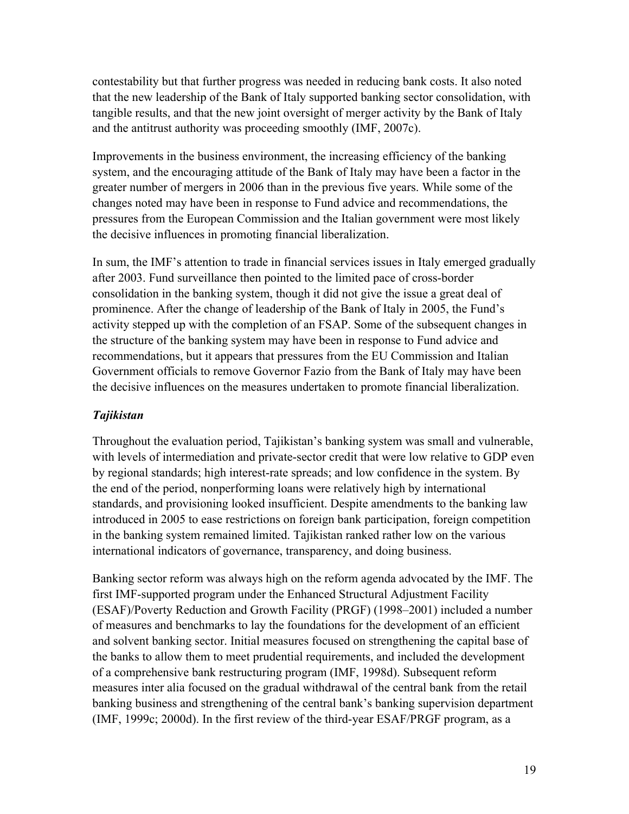contestability but that further progress was needed in reducing bank costs. It also noted that the new leadership of the Bank of Italy supported banking sector consolidation, with tangible results, and that the new joint oversight of merger activity by the Bank of Italy and the antitrust authority was proceeding smoothly (IMF, 2007c).

Improvements in the business environment, the increasing efficiency of the banking system, and the encouraging attitude of the Bank of Italy may have been a factor in the greater number of mergers in 2006 than in the previous five years. While some of the changes noted may have been in response to Fund advice and recommendations, the pressures from the European Commission and the Italian government were most likely the decisive influences in promoting financial liberalization.

In sum, the IMF's attention to trade in financial services issues in Italy emerged gradually after 2003. Fund surveillance then pointed to the limited pace of cross-border consolidation in the banking system, though it did not give the issue a great deal of prominence. After the change of leadership of the Bank of Italy in 2005, the Fund's activity stepped up with the completion of an FSAP. Some of the subsequent changes in the structure of the banking system may have been in response to Fund advice and recommendations, but it appears that pressures from the EU Commission and Italian Government officials to remove Governor Fazio from the Bank of Italy may have been the decisive influences on the measures undertaken to promote financial liberalization.

#### *Tajikistan*

Throughout the evaluation period, Tajikistan's banking system was small and vulnerable, with levels of intermediation and private-sector credit that were low relative to GDP even by regional standards; high interest-rate spreads; and low confidence in the system. By the end of the period, nonperforming loans were relatively high by international standards, and provisioning looked insufficient. Despite amendments to the banking law introduced in 2005 to ease restrictions on foreign bank participation, foreign competition in the banking system remained limited. Tajikistan ranked rather low on the various international indicators of governance, transparency, and doing business.

Banking sector reform was always high on the reform agenda advocated by the IMF. The first IMF-supported program under the Enhanced Structural Adjustment Facility (ESAF)/Poverty Reduction and Growth Facility (PRGF) (1998–2001) included a number of measures and benchmarks to lay the foundations for the development of an efficient and solvent banking sector. Initial measures focused on strengthening the capital base of the banks to allow them to meet prudential requirements, and included the development of a comprehensive bank restructuring program (IMF, 1998d). Subsequent reform measures inter alia focused on the gradual withdrawal of the central bank from the retail banking business and strengthening of the central bank's banking supervision department (IMF, 1999c; 2000d). In the first review of the third-year ESAF/PRGF program, as a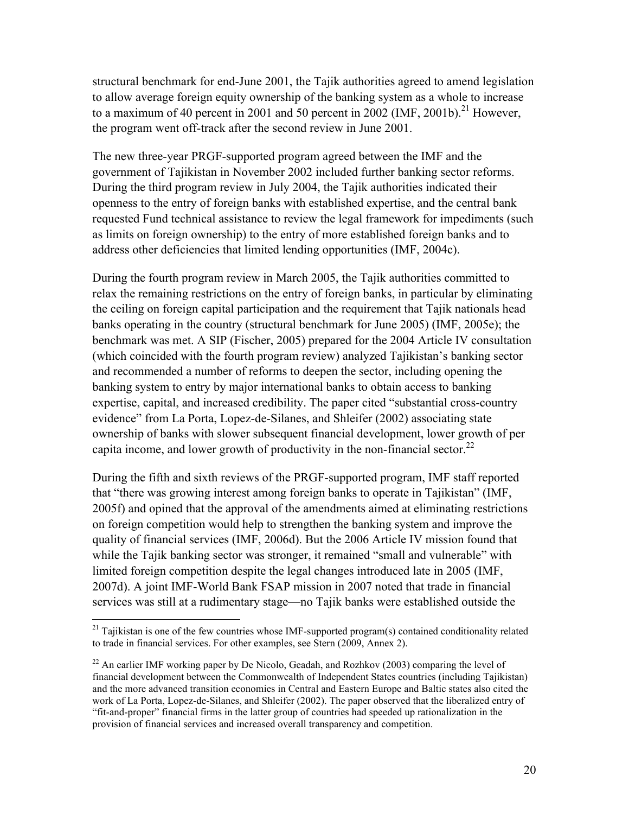structural benchmark for end-June 2001, the Tajik authorities agreed to amend legislation to allow average foreign equity ownership of the banking system as a whole to increase to a maximum of 40 percent in 2001 and 50 percent in 2002 (IMF, 2001b).<sup>21</sup> However, the program went off-track after the second review in June 2001.

The new three-year PRGF-supported program agreed between the IMF and the government of Tajikistan in November 2002 included further banking sector reforms. During the third program review in July 2004, the Tajik authorities indicated their openness to the entry of foreign banks with established expertise, and the central bank requested Fund technical assistance to review the legal framework for impediments (such as limits on foreign ownership) to the entry of more established foreign banks and to address other deficiencies that limited lending opportunities (IMF, 2004c).

During the fourth program review in March 2005, the Tajik authorities committed to relax the remaining restrictions on the entry of foreign banks, in particular by eliminating the ceiling on foreign capital participation and the requirement that Tajik nationals head banks operating in the country (structural benchmark for June 2005) (IMF, 2005e); the benchmark was met. A SIP (Fischer, 2005) prepared for the 2004 Article IV consultation (which coincided with the fourth program review) analyzed Tajikistan's banking sector and recommended a number of reforms to deepen the sector, including opening the banking system to entry by major international banks to obtain access to banking expertise, capital, and increased credibility. The paper cited "substantial cross-country evidence" from La Porta, Lopez-de-Silanes, and Shleifer (2002) associating state ownership of banks with slower subsequent financial development, lower growth of per capita income, and lower growth of productivity in the non-financial sector.<sup>22</sup>

During the fifth and sixth reviews of the PRGF-supported program, IMF staff reported that "there was growing interest among foreign banks to operate in Tajikistan" (IMF, 2005f) and opined that the approval of the amendments aimed at eliminating restrictions on foreign competition would help to strengthen the banking system and improve the quality of financial services (IMF, 2006d). But the 2006 Article IV mission found that while the Tajik banking sector was stronger, it remained "small and vulnerable" with limited foreign competition despite the legal changes introduced late in 2005 (IMF, 2007d). A joint IMF-World Bank FSAP mission in 2007 noted that trade in financial services was still at a rudimentary stage—no Tajik banks were established outside the

 $21$  Tajikistan is one of the few countries whose IMF-supported program(s) contained conditionality related to trade in financial services. For other examples, see Stern (2009, Annex 2).

<sup>&</sup>lt;sup>22</sup> An earlier IMF working paper by De Nicolo, Geadah, and Rozhkov (2003) comparing the level of financial development between the Commonwealth of Independent States countries (including Tajikistan) and the more advanced transition economies in Central and Eastern Europe and Baltic states also cited the work of La Porta, Lopez-de-Silanes, and Shleifer (2002). The paper observed that the liberalized entry of "fit-and-proper" financial firms in the latter group of countries had speeded up rationalization in the provision of financial services and increased overall transparency and competition.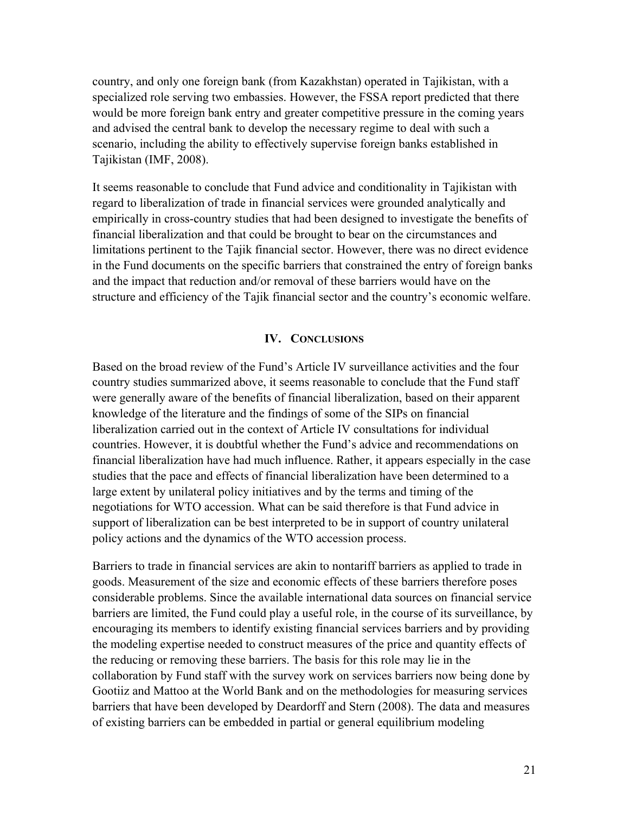country, and only one foreign bank (from Kazakhstan) operated in Tajikistan, with a specialized role serving two embassies. However, the FSSA report predicted that there would be more foreign bank entry and greater competitive pressure in the coming years and advised the central bank to develop the necessary regime to deal with such a scenario, including the ability to effectively supervise foreign banks established in Tajikistan (IMF, 2008).

It seems reasonable to conclude that Fund advice and conditionality in Tajikistan with regard to liberalization of trade in financial services were grounded analytically and empirically in cross-country studies that had been designed to investigate the benefits of financial liberalization and that could be brought to bear on the circumstances and limitations pertinent to the Tajik financial sector. However, there was no direct evidence in the Fund documents on the specific barriers that constrained the entry of foreign banks and the impact that reduction and/or removal of these barriers would have on the structure and efficiency of the Tajik financial sector and the country's economic welfare.

#### **IV. CONCLUSIONS**

Based on the broad review of the Fund's Article IV surveillance activities and the four country studies summarized above, it seems reasonable to conclude that the Fund staff were generally aware of the benefits of financial liberalization, based on their apparent knowledge of the literature and the findings of some of the SIPs on financial liberalization carried out in the context of Article IV consultations for individual countries. However, it is doubtful whether the Fund's advice and recommendations on financial liberalization have had much influence. Rather, it appears especially in the case studies that the pace and effects of financial liberalization have been determined to a large extent by unilateral policy initiatives and by the terms and timing of the negotiations for WTO accession. What can be said therefore is that Fund advice in support of liberalization can be best interpreted to be in support of country unilateral policy actions and the dynamics of the WTO accession process.

Barriers to trade in financial services are akin to nontariff barriers as applied to trade in goods. Measurement of the size and economic effects of these barriers therefore poses considerable problems. Since the available international data sources on financial service barriers are limited, the Fund could play a useful role, in the course of its surveillance, by encouraging its members to identify existing financial services barriers and by providing the modeling expertise needed to construct measures of the price and quantity effects of the reducing or removing these barriers. The basis for this role may lie in the collaboration by Fund staff with the survey work on services barriers now being done by Gootiiz and Mattoo at the World Bank and on the methodologies for measuring services barriers that have been developed by Deardorff and Stern (2008). The data and measures of existing barriers can be embedded in partial or general equilibrium modeling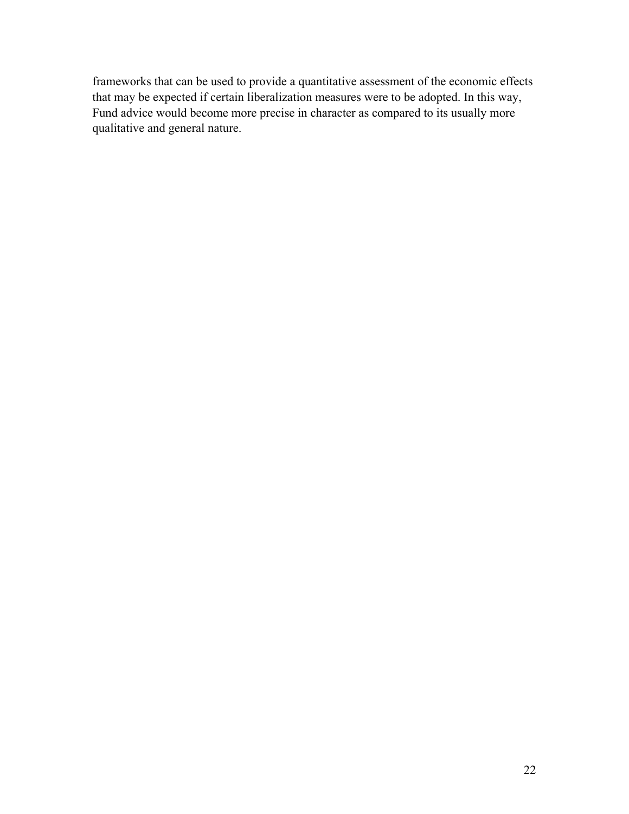frameworks that can be used to provide a quantitative assessment of the economic effects that may be expected if certain liberalization measures were to be adopted. In this way, Fund advice would become more precise in character as compared to its usually more qualitative and general nature.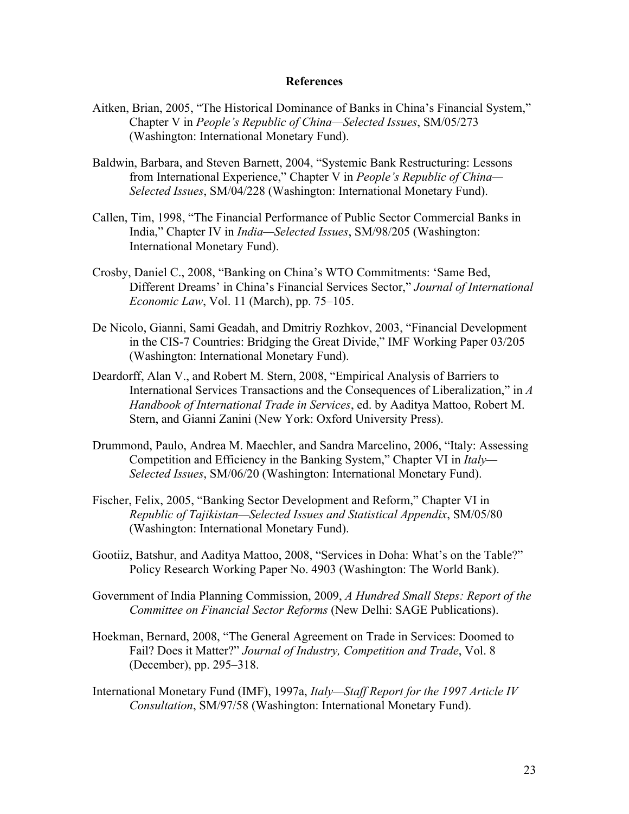#### **References**

- Aitken, Brian, 2005, "The Historical Dominance of Banks in China's Financial System," Chapter V in *People's Republic of China—Selected Issues*, SM/05/273 (Washington: International Monetary Fund).
- Baldwin, Barbara, and Steven Barnett, 2004, "Systemic Bank Restructuring: Lessons from International Experience," Chapter V in *People's Republic of China— Selected Issues*, SM/04/228 (Washington: International Monetary Fund).
- Callen, Tim, 1998, "The Financial Performance of Public Sector Commercial Banks in India," Chapter IV in *India—Selected Issues*, SM/98/205 (Washington: International Monetary Fund).
- Crosby, Daniel C., 2008, "Banking on China's WTO Commitments: 'Same Bed, Different Dreams' in China's Financial Services Sector," *Journal of International Economic Law*, Vol. 11 (March), pp. 75–105.
- De Nicolo, Gianni, Sami Geadah, and Dmitriy Rozhkov, 2003, "Financial Development in the CIS-7 Countries: Bridging the Great Divide," IMF Working Paper 03/205 (Washington: International Monetary Fund).
- Deardorff, Alan V., and Robert M. Stern, 2008, "Empirical Analysis of Barriers to International Services Transactions and the Consequences of Liberalization," in *A Handbook of International Trade in Services*, ed. by Aaditya Mattoo, Robert M. Stern, and Gianni Zanini (New York: Oxford University Press).
- Drummond, Paulo, Andrea M. Maechler, and Sandra Marcelino, 2006, "Italy: Assessing Competition and Efficiency in the Banking System," Chapter VI in *Italy— Selected Issues*, SM/06/20 (Washington: International Monetary Fund).
- Fischer, Felix, 2005, "Banking Sector Development and Reform," Chapter VI in *Republic of Tajikistan—Selected Issues and Statistical Appendix*, SM/05/80 (Washington: International Monetary Fund).
- Gootiiz, Batshur, and Aaditya Mattoo, 2008, "Services in Doha: What's on the Table?" Policy Research Working Paper No. 4903 (Washington: The World Bank).
- Government of India Planning Commission, 2009, *A Hundred Small Steps: Report of the Committee on Financial Sector Reforms* (New Delhi: SAGE Publications).
- Hoekman, Bernard, 2008, "The General Agreement on Trade in Services: Doomed to Fail? Does it Matter?" *Journal of Industry, Competition and Trade*, Vol. 8 (December), pp. 295–318.
- International Monetary Fund (IMF), 1997a, *Italy—Staff Report for the 1997 Article IV Consultation*, SM/97/58 (Washington: International Monetary Fund).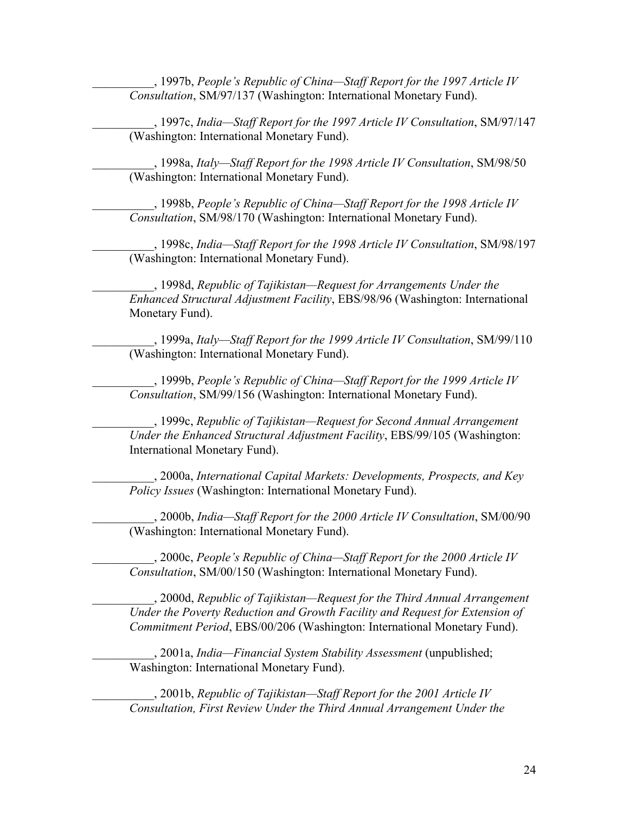\_\_\_\_\_\_\_\_\_\_, 1997b, *People's Republic of China—Staff Report for the 1997 Article IV Consultation*, SM/97/137 (Washington: International Monetary Fund).

\_\_\_\_\_\_\_\_\_\_, 1997c, *India—Staff Report for the 1997 Article IV Consultation*, SM/97/147 (Washington: International Monetary Fund).

\_\_\_\_\_\_\_\_\_\_, 1998a, *Italy—Staff Report for the 1998 Article IV Consultation*, SM/98/50 (Washington: International Monetary Fund).

\_\_\_\_\_\_\_\_\_\_, 1998b, *People's Republic of China—Staff Report for the 1998 Article IV Consultation*, SM/98/170 (Washington: International Monetary Fund).

\_\_\_\_\_\_\_\_\_\_, 1998c, *India—Staff Report for the 1998 Article IV Consultation*, SM/98/197 (Washington: International Monetary Fund).

\_\_\_\_\_\_\_\_\_\_, 1998d, *Republic of Tajikistan—Request for Arrangements Under the Enhanced Structural Adjustment Facility*, EBS/98/96 (Washington: International Monetary Fund).

\_\_\_\_\_\_\_\_\_\_, 1999a, *Italy—Staff Report for the 1999 Article IV Consultation*, SM/99/110 (Washington: International Monetary Fund).

\_\_\_\_\_\_\_\_\_\_, 1999b, *People's Republic of China—Staff Report for the 1999 Article IV Consultation*, SM/99/156 (Washington: International Monetary Fund).

\_\_\_\_\_\_\_\_\_\_, 1999c, *Republic of Tajikistan—Request for Second Annual Arrangement Under the Enhanced Structural Adjustment Facility*, EBS/99/105 (Washington: International Monetary Fund).

\_\_\_\_\_\_\_\_\_\_, 2000a, *International Capital Markets: Developments, Prospects, and Key Policy Issues* (Washington: International Monetary Fund).

\_\_\_\_\_\_\_\_\_\_, 2000b, *India—Staff Report for the 2000 Article IV Consultation*, SM/00/90 (Washington: International Monetary Fund).

\_\_\_\_\_\_\_\_\_\_, 2000c, *People's Republic of China—Staff Report for the 2000 Article IV Consultation*, SM/00/150 (Washington: International Monetary Fund).

\_\_\_\_\_\_\_\_\_\_, 2000d, *Republic of Tajikistan—Request for the Third Annual Arrangement Under the Poverty Reduction and Growth Facility and Request for Extension of Commitment Period*, EBS/00/206 (Washington: International Monetary Fund).

\_\_\_\_\_\_\_\_\_\_, 2001a, *India—Financial System Stability Assessment* (unpublished; Washington: International Monetary Fund).

\_\_\_\_\_\_\_\_\_\_, 2001b, *Republic of Tajikistan—Staff Report for the 2001 Article IV Consultation, First Review Under the Third Annual Arrangement Under the*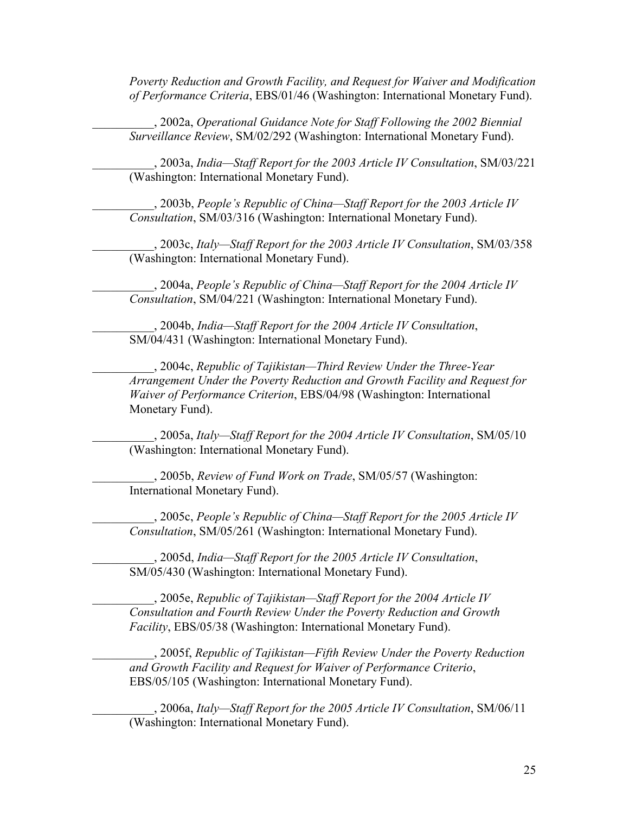*Poverty Reduction and Growth Facility, and Request for Waiver and Modification of Performance Criteria*, EBS/01/46 (Washington: International Monetary Fund).

\_\_\_\_\_\_\_\_\_\_, 2002a, *Operational Guidance Note for Staff Following the 2002 Biennial Surveillance Review*, SM/02/292 (Washington: International Monetary Fund).

\_\_\_\_\_\_\_\_\_\_, 2003a, *India—Staff Report for the 2003 Article IV Consultation*, SM/03/221 (Washington: International Monetary Fund).

\_\_\_\_\_\_\_\_\_\_, 2003b, *People's Republic of China—Staff Report for the 2003 Article IV Consultation*, SM/03/316 (Washington: International Monetary Fund).

\_\_\_\_\_\_\_\_\_\_, 2003c, *Italy—Staff Report for the 2003 Article IV Consultation*, SM/03/358 (Washington: International Monetary Fund).

\_\_\_\_\_\_\_\_\_\_, 2004a, *People's Republic of China—Staff Report for the 2004 Article IV Consultation*, SM/04/221 (Washington: International Monetary Fund).

\_\_\_\_\_\_\_\_\_\_, 2004b, *India—Staff Report for the 2004 Article IV Consultation*, SM/04/431 (Washington: International Monetary Fund).

\_\_\_\_\_\_\_\_\_\_, 2004c, *Republic of Tajikistan—Third Review Under the Three-Year Arrangement Under the Poverty Reduction and Growth Facility and Request for Waiver of Performance Criterion*, EBS/04/98 (Washington: International Monetary Fund).

\_\_\_\_\_\_\_\_\_\_, 2005a, *Italy—Staff Report for the 2004 Article IV Consultation*, SM/05/10 (Washington: International Monetary Fund).

\_\_\_\_\_\_\_\_\_\_, 2005b, *Review of Fund Work on Trade*, SM/05/57 (Washington: International Monetary Fund).

\_\_\_\_\_\_\_\_\_\_, 2005c, *People's Republic of China—Staff Report for the 2005 Article IV Consultation*, SM/05/261 (Washington: International Monetary Fund).

\_\_\_\_\_\_\_\_\_\_, 2005d, *India—Staff Report for the 2005 Article IV Consultation*, SM/05/430 (Washington: International Monetary Fund).

\_\_\_\_\_\_\_\_\_\_, 2005e, *Republic of Tajikistan—Staff Report for the 2004 Article IV Consultation and Fourth Review Under the Poverty Reduction and Growth Facility*, EBS/05/38 (Washington: International Monetary Fund).

\_\_\_\_\_\_\_\_\_\_, 2005f, *Republic of Tajikistan—Fifth Review Under the Poverty Reduction and Growth Facility and Request for Waiver of Performance Criterio*, EBS/05/105 (Washington: International Monetary Fund).

\_\_\_\_\_\_\_\_\_\_, 2006a, *Italy—Staff Report for the 2005 Article IV Consultation*, SM/06/11 (Washington: International Monetary Fund).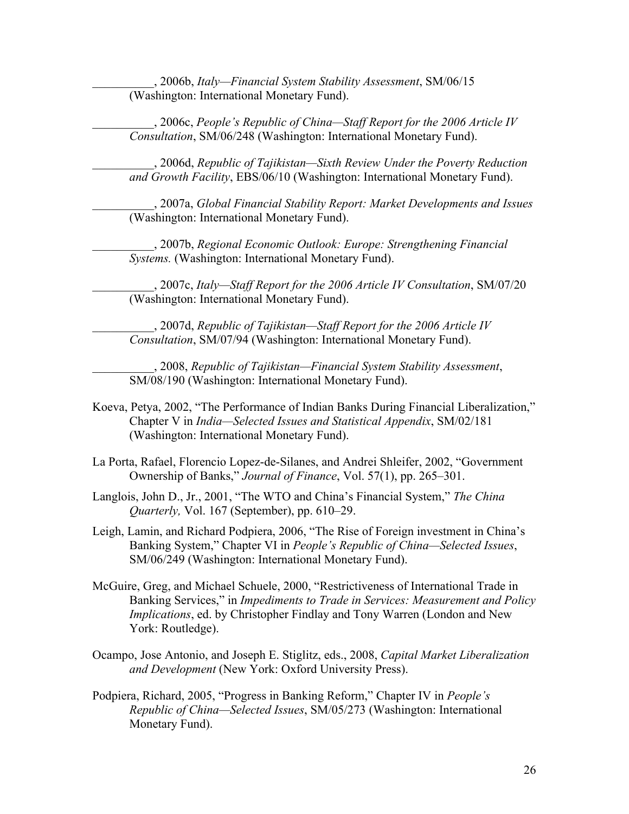\_\_\_\_\_\_\_\_\_\_, 2006b, *Italy—Financial System Stability Assessment*, SM/06/15 (Washington: International Monetary Fund).

\_\_\_\_\_\_\_\_\_\_, 2006c, *People's Republic of China—Staff Report for the 2006 Article IV Consultation*, SM/06/248 (Washington: International Monetary Fund).

\_\_\_\_\_\_\_\_\_\_, 2006d, *Republic of Tajikistan—Sixth Review Under the Poverty Reduction and Growth Facility*, EBS/06/10 (Washington: International Monetary Fund).

\_\_\_\_\_\_\_\_\_\_, 2007a, *Global Financial Stability Report: Market Developments and Issues*  (Washington: International Monetary Fund).

\_\_\_\_\_\_\_\_\_\_, 2007b, *Regional Economic Outlook: Europe: Strengthening Financial Systems.* (Washington: International Monetary Fund).

\_\_\_\_\_\_\_\_\_\_, 2007c, *Italy—Staff Report for the 2006 Article IV Consultation*, SM/07/20 (Washington: International Monetary Fund).

\_\_\_\_\_\_\_\_\_\_, 2007d, *Republic of Tajikistan—Staff Report for the 2006 Article IV Consultation*, SM/07/94 (Washington: International Monetary Fund).

\_\_\_\_\_\_\_\_\_\_, 2008, *Republic of Tajikistan—Financial System Stability Assessment*, SM/08/190 (Washington: International Monetary Fund).

- Koeva, Petya, 2002, "The Performance of Indian Banks During Financial Liberalization," Chapter V in *India—Selected Issues and Statistical Appendix*, SM/02/181 (Washington: International Monetary Fund).
- La Porta, Rafael, Florencio Lopez-de-Silanes, and Andrei Shleifer, 2002, "Government Ownership of Banks," *Journal of Finance*, Vol. 57(1), pp. 265–301.
- Langlois, John D., Jr., 2001, "The WTO and China's Financial System," *The China Quarterly,* Vol. 167 (September), pp. 610–29.
- Leigh, Lamin, and Richard Podpiera, 2006, "The Rise of Foreign investment in China's Banking System," Chapter VI in *People's Republic of China—Selected Issues*, SM/06/249 (Washington: International Monetary Fund).
- McGuire, Greg, and Michael Schuele, 2000, "Restrictiveness of International Trade in Banking Services," in *Impediments to Trade in Services: Measurement and Policy Implications*, ed. by Christopher Findlay and Tony Warren (London and New York: Routledge).
- Ocampo, Jose Antonio, and Joseph E. Stiglitz, eds., 2008, *Capital Market Liberalization and Development* (New York: Oxford University Press).
- Podpiera, Richard, 2005, "Progress in Banking Reform," Chapter IV in *People's Republic of China—Selected Issues*, SM/05/273 (Washington: International Monetary Fund).